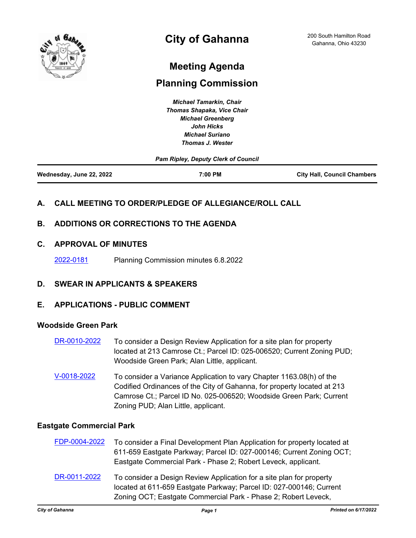

# **Meeting Agenda**

# **Planning Commission**

*Michael Tamarkin, Chair Thomas Shapaka, Vice Chair Michael Greenberg John Hicks Michael Suriano Thomas J. Wester*

|                          | <b>Pam Ripley, Deputy Clerk of Council</b> |                                    |
|--------------------------|--------------------------------------------|------------------------------------|
| Wednesday, June 22, 2022 | 7:00 PM                                    | <b>City Hall, Council Chambers</b> |

## **A. CALL MEETING TO ORDER/PLEDGE OF ALLEGIANCE/ROLL CALL**

## **B. ADDITIONS OR CORRECTIONS TO THE AGENDA**

### **C. APPROVAL OF MINUTES**

[2022-0181](http://gahanna.legistar.com/gateway.aspx?m=l&id=/matter.aspx?key=17025) Planning Commission minutes 6.8.2022

### **D. SWEAR IN APPLICANTS & SPEAKERS**

#### **E. APPLICATIONS - PUBLIC COMMENT**

#### **Woodside Green Park**

- [DR-0010-2022](http://gahanna.legistar.com/gateway.aspx?m=l&id=/matter.aspx?key=17018) To consider a Design Review Application for a site plan for property located at 213 Camrose Ct.; Parcel ID: 025-006520; Current Zoning PUD; Woodside Green Park; Alan Little, applicant.
- [V-0018-2022](http://gahanna.legistar.com/gateway.aspx?m=l&id=/matter.aspx?key=17017) To consider a Variance Application to vary Chapter 1163.08(h) of the Codified Ordinances of the City of Gahanna, for property located at 213 Camrose Ct.; Parcel ID No. 025-006520; Woodside Green Park; Current Zoning PUD; Alan Little, applicant.

#### **Eastgate Commercial Park**

| FDP-0004-2022 | To consider a Final Development Plan Application for property located at<br>611-659 Eastgate Parkway; Parcel ID: 027-000146; Current Zoning OCT;<br>Eastgate Commercial Park - Phase 2; Robert Leveck, applicant. |
|---------------|-------------------------------------------------------------------------------------------------------------------------------------------------------------------------------------------------------------------|
| DR-0011-2022  | To consider a Design Review Application for a site plan for property<br>located at 611-659 Eastgate Parkway; Parcel ID: 027-000146; Current<br>Zoning OCT; Eastgate Commercial Park - Phase 2; Robert Leveck,     |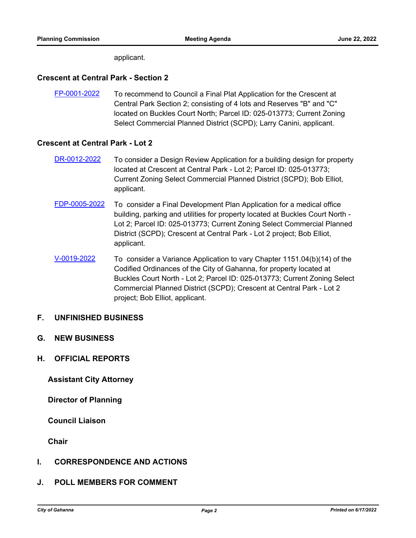applicant.

#### **Crescent at Central Park - Section 2**

[FP-0001-2022](http://gahanna.legistar.com/gateway.aspx?m=l&id=/matter.aspx?key=17021) To recommend to Council a Final Plat Application for the Crescent at Central Park Section 2; consisting of 4 lots and Reserves "B" and "C" located on Buckles Court North; Parcel ID: 025-013773; Current Zoning Select Commercial Planned District (SCPD); Larry Canini, applicant.

#### **Crescent at Central Park - Lot 2**

- [DR-0012-2022](http://gahanna.legistar.com/gateway.aspx?m=l&id=/matter.aspx?key=17023) To consider a Design Review Application for a building design for property located at Crescent at Central Park - Lot 2; Parcel ID: 025-013773; Current Zoning Select Commercial Planned District (SCPD); Bob Elliot, applicant.
- [FDP-0005-2022](http://gahanna.legistar.com/gateway.aspx?m=l&id=/matter.aspx?key=17022) To consider a Final Development Plan Application for a medical office building, parking and utilities for property located at Buckles Court North - Lot 2; Parcel ID: 025-013773; Current Zoning Select Commercial Planned District (SCPD); Crescent at Central Park - Lot 2 project; Bob Elliot, applicant.
- [V-0019-2022](http://gahanna.legistar.com/gateway.aspx?m=l&id=/matter.aspx?key=17024) To consider a Variance Application to vary Chapter 1151.04(b)(14) of the Codified Ordinances of the City of Gahanna, for property located at Buckles Court North - Lot 2; Parcel ID: 025-013773; Current Zoning Select Commercial Planned District (SCPD); Crescent at Central Park - Lot 2 project; Bob Elliot, applicant.

#### **F. UNFINISHED BUSINESS**

- **G. NEW BUSINESS**
- **H. OFFICIAL REPORTS**

 **Assistant City Attorney**

 **Director of Planning**

 **Council Liaison**

 **Chair**

#### **I. CORRESPONDENCE AND ACTIONS**

#### **J. POLL MEMBERS FOR COMMENT**